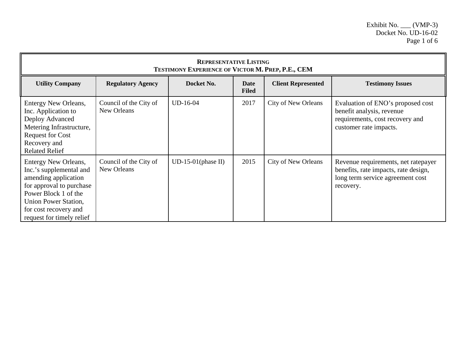| <b>REPRESENTATIVE LISTING</b><br><b>TESTIMONY EXPERIENCE OF VICTOR M. PREP, P.E., CEM</b>                                                                                                                 |                                       |                       |                             |                            |                                                                                                                              |  |
|-----------------------------------------------------------------------------------------------------------------------------------------------------------------------------------------------------------|---------------------------------------|-----------------------|-----------------------------|----------------------------|------------------------------------------------------------------------------------------------------------------------------|--|
| <b>Utility Company</b>                                                                                                                                                                                    | <b>Regulatory Agency</b>              | Docket No.            | <b>Date</b><br><b>Filed</b> | <b>Client Represented</b>  | <b>Testimony Issues</b>                                                                                                      |  |
| Entergy New Orleans,<br>Inc. Application to<br>Deploy Advanced<br>Metering Infrastructure,<br><b>Request for Cost</b><br>Recovery and<br><b>Related Relief</b>                                            | Council of the City of<br>New Orleans | UD-16-04              | 2017                        | <b>City of New Orleans</b> | Evaluation of ENO's proposed cost<br>benefit analysis, revenue<br>requirements, cost recovery and<br>customer rate impacts.  |  |
| Entergy New Orleans,<br>Inc.'s supplemental and<br>amending application<br>for approval to purchase<br>Power Block 1 of the<br>Union Power Station,<br>for cost recovery and<br>request for timely relief | Council of the City of<br>New Orleans | $UD-15-01$ (phase II) | 2015                        | <b>City of New Orleans</b> | Revenue requirements, net ratepayer<br>benefits, rate impacts, rate design,<br>long term service agreement cost<br>recovery. |  |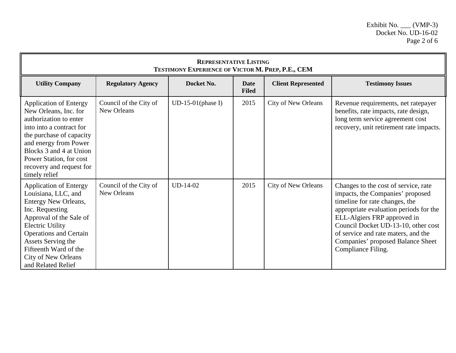| <b>REPRESENTATIVE LISTING</b><br>TESTIMONY EXPERIENCE OF VICTOR M. PREP, P.E., CEM                                                                                                                                                                                                        |                                       |                      |                             |                            |                                                                                                                                                                                                                                                                                                                              |  |
|-------------------------------------------------------------------------------------------------------------------------------------------------------------------------------------------------------------------------------------------------------------------------------------------|---------------------------------------|----------------------|-----------------------------|----------------------------|------------------------------------------------------------------------------------------------------------------------------------------------------------------------------------------------------------------------------------------------------------------------------------------------------------------------------|--|
| <b>Utility Company</b>                                                                                                                                                                                                                                                                    | <b>Regulatory Agency</b>              | Docket No.           | <b>Date</b><br><b>Filed</b> | <b>Client Represented</b>  | <b>Testimony Issues</b>                                                                                                                                                                                                                                                                                                      |  |
| <b>Application of Entergy</b><br>New Orleans, Inc. for<br>authorization to enter<br>into into a contract for<br>the purchase of capacity<br>and energy from Power<br>Blocks 3 and 4 at Union<br>Power Station, for cost<br>recovery and request for<br>timely relief                      | Council of the City of<br>New Orleans | $UD-15-01$ (phase I) | 2015                        | <b>City of New Orleans</b> | Revenue requirements, net ratepayer<br>benefits, rate impacts, rate design,<br>long term service agreement cost<br>recovery, unit retirement rate impacts.                                                                                                                                                                   |  |
| <b>Application of Entergy</b><br>Louisiana, LLC, and<br>Entergy New Orleans,<br>Inc. Requesting<br>Approval of the Sale of<br><b>Electric Utility</b><br><b>Operations and Certain</b><br>Assets Serving the<br>Fifteenth Ward of the<br><b>City of New Orleans</b><br>and Related Relief | Council of the City of<br>New Orleans | $UD-14-02$           | 2015                        | City of New Orleans        | Changes to the cost of service, rate<br>impacts, the Companies' proposed<br>timeline for rate changes, the<br>appropriate evaluation periods for the<br>ELL-Algiers FRP approved in<br>Council Docket UD-13-10, other cost<br>of service and rate maters, and the<br>Companies' proposed Balance Sheet<br>Compliance Filing. |  |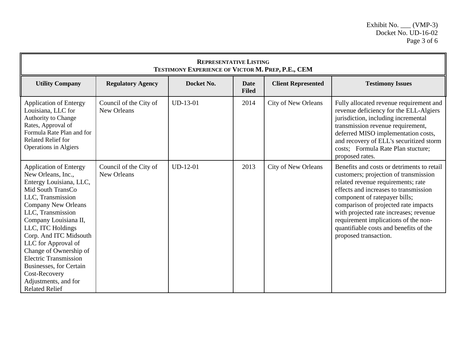| <b>REPRESENTATIVE LISTING</b><br>TESTIMONY EXPERIENCE OF VICTOR M. PREP, P.E., CEM                                                                                                                                                                                                                                                                                                                                                |                                       |            |                             |                           |                                                                                                                                                                                                                                                                                                                                                                                                  |  |
|-----------------------------------------------------------------------------------------------------------------------------------------------------------------------------------------------------------------------------------------------------------------------------------------------------------------------------------------------------------------------------------------------------------------------------------|---------------------------------------|------------|-----------------------------|---------------------------|--------------------------------------------------------------------------------------------------------------------------------------------------------------------------------------------------------------------------------------------------------------------------------------------------------------------------------------------------------------------------------------------------|--|
| <b>Utility Company</b>                                                                                                                                                                                                                                                                                                                                                                                                            | <b>Regulatory Agency</b>              | Docket No. | <b>Date</b><br><b>Filed</b> | <b>Client Represented</b> | <b>Testimony Issues</b>                                                                                                                                                                                                                                                                                                                                                                          |  |
| Application of Entergy<br>Louisiana, LLC for<br><b>Authority to Change</b><br>Rates, Approval of<br>Formula Rate Plan and for<br><b>Related Relief for</b><br>Operations in Algiers                                                                                                                                                                                                                                               | Council of the City of<br>New Orleans | $UD-13-01$ | 2014                        | City of New Orleans       | Fully allocated revenue requirement and<br>revenue deficiency for the ELL-Algiers<br>jurisdiction, including incremental<br>transmission revenue requirement,<br>deferred MISO implementation costs,<br>and recovery of ELL's securitized storm<br>costs; Formula Rate Plan stucture;<br>proposed rates.                                                                                         |  |
| <b>Application of Entergy</b><br>New Orleans, Inc.,<br>Entergy Louisiana, LLC,<br>Mid South TransCo<br>LLC, Transmission<br><b>Company New Orleans</b><br>LLC, Transmission<br>Company Louisiana II,<br>LLC, ITC Holdings<br>Corp. And ITC Midsouth<br>LLC for Approval of<br>Change of Ownership of<br><b>Electric Transmission</b><br>Businesses, for Certain<br>Cost-Recovery<br>Adjustments, and for<br><b>Related Relief</b> | Council of the City of<br>New Orleans | $UD-12-01$ | 2013                        | City of New Orleans       | Benefits and costs or detriments to retail<br>customers; projection of transmission<br>related revenue requirements; rate<br>effects and increases to transmission<br>component of ratepayer bills;<br>comparison of projected rate impacts<br>with projected rate increases; revenue<br>requirement implications of the non-<br>quantifiable costs and benefits of the<br>proposed transaction. |  |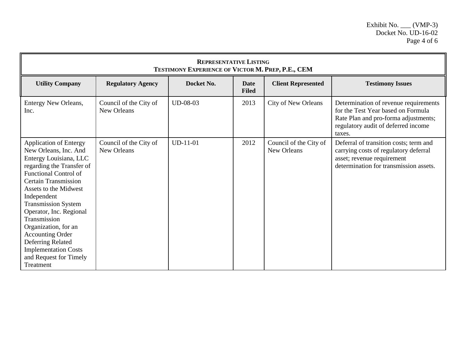| <b>REPRESENTATIVE LISTING</b><br>TESTIMONY EXPERIENCE OF VICTOR M. PREP, P.E., CEM                                                                                                                                                                                                                                                                                                                                                          |                                       |            |                             |                                       |                                                                                                                                                                      |  |
|---------------------------------------------------------------------------------------------------------------------------------------------------------------------------------------------------------------------------------------------------------------------------------------------------------------------------------------------------------------------------------------------------------------------------------------------|---------------------------------------|------------|-----------------------------|---------------------------------------|----------------------------------------------------------------------------------------------------------------------------------------------------------------------|--|
| <b>Utility Company</b>                                                                                                                                                                                                                                                                                                                                                                                                                      | <b>Regulatory Agency</b>              | Docket No. | <b>Date</b><br><b>Filed</b> | <b>Client Represented</b>             | <b>Testimony Issues</b>                                                                                                                                              |  |
| <b>Entergy New Orleans,</b><br>Inc.                                                                                                                                                                                                                                                                                                                                                                                                         | Council of the City of<br>New Orleans | $UD-08-03$ | 2013                        | <b>City of New Orleans</b>            | Determination of revenue requirements<br>for the Test Year based on Formula<br>Rate Plan and pro-forma adjustments;<br>regulatory audit of deferred income<br>taxes. |  |
| <b>Application of Entergy</b><br>New Orleans, Inc. And<br>Entergy Louisiana, LLC<br>regarding the Transfer of<br><b>Functional Control of</b><br><b>Certain Transmission</b><br>Assets to the Midwest<br>Independent<br><b>Transmission System</b><br>Operator, Inc. Regional<br>Transmission<br>Organization, for an<br><b>Accounting Order</b><br>Deferring Related<br><b>Implementation Costs</b><br>and Request for Timely<br>Treatment | Council of the City of<br>New Orleans | $UD-11-01$ | 2012                        | Council of the City of<br>New Orleans | Deferral of transition costs; term and<br>carrying costs of regulatory deferral<br>asset; revenue requirement<br>determination for transmission assets.              |  |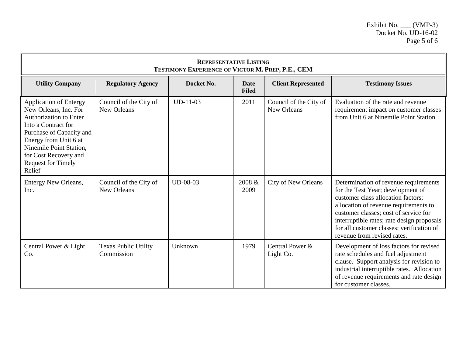| <b>REPRESENTATIVE LISTING</b><br>TESTIMONY EXPERIENCE OF VICTOR M. PREP, P.E., CEM                                                                                                                                                                             |                                           |            |                             |                                       |                                                                                                                                                                                                                                                                                                                              |  |
|----------------------------------------------------------------------------------------------------------------------------------------------------------------------------------------------------------------------------------------------------------------|-------------------------------------------|------------|-----------------------------|---------------------------------------|------------------------------------------------------------------------------------------------------------------------------------------------------------------------------------------------------------------------------------------------------------------------------------------------------------------------------|--|
| <b>Utility Company</b>                                                                                                                                                                                                                                         | <b>Regulatory Agency</b>                  | Docket No. | <b>Date</b><br><b>Filed</b> | <b>Client Represented</b>             | <b>Testimony Issues</b>                                                                                                                                                                                                                                                                                                      |  |
| <b>Application of Entergy</b><br>New Orleans, Inc. For<br><b>Authorization to Enter</b><br>Into a Contract for<br>Purchase of Capacity and<br>Energy from Unit 6 at<br>Ninemile Point Station,<br>for Cost Recovery and<br><b>Request for Timely</b><br>Relief | Council of the City of<br>New Orleans     | $UD-11-03$ | 2011                        | Council of the City of<br>New Orleans | Evaluation of the rate and revenue<br>requirement impact on customer classes<br>from Unit 6 at Ninemile Point Station.                                                                                                                                                                                                       |  |
| Entergy New Orleans,<br>Inc.                                                                                                                                                                                                                                   | Council of the City of<br>New Orleans     | UD-08-03   | 2008 &<br>2009              | <b>City of New Orleans</b>            | Determination of revenue requirements<br>for the Test Year; development of<br>customer class allocation factors;<br>allocation of revenue requirements to<br>customer classes; cost of service for<br>interruptible rates; rate design proposals<br>for all customer classes; verification of<br>revenue from revised rates. |  |
| Central Power & Light<br>Co.                                                                                                                                                                                                                                   | <b>Texas Public Utility</b><br>Commission | Unknown    | 1979                        | Central Power &<br>Light Co.          | Development of loss factors for revised<br>rate schedules and fuel adjustment<br>clause. Support analysis for revision to<br>industrial interruptible rates. Allocation<br>of revenue requirements and rate design<br>for customer classes.                                                                                  |  |